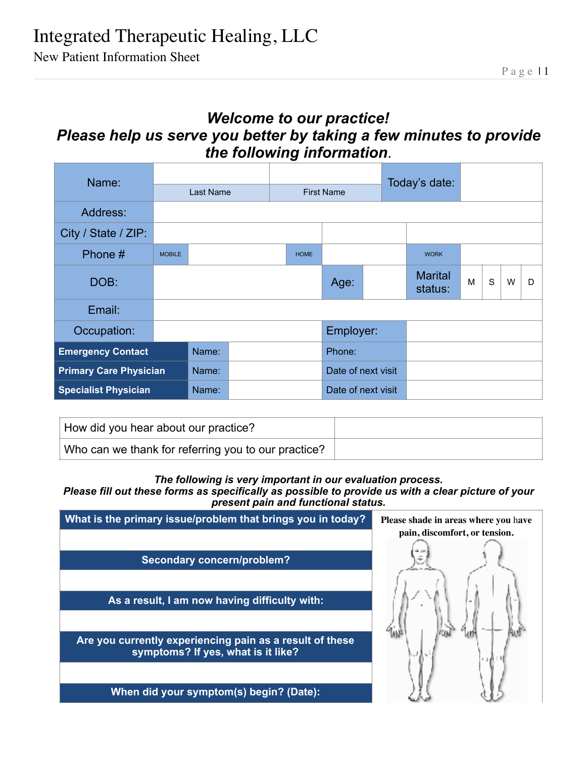New Patient Information Sheet

### *Welcome to our practice! Please help us serve you better by taking a few minutes to provide the following information*.

| Name:                         |               |       |           |                    |             |                    |  | Today's date: |                           |   |   |   |   |
|-------------------------------|---------------|-------|-----------|--------------------|-------------|--------------------|--|---------------|---------------------------|---|---|---|---|
|                               |               |       | Last Name |                    |             | <b>First Name</b>  |  |               |                           |   |   |   |   |
| Address:                      |               |       |           |                    |             |                    |  |               |                           |   |   |   |   |
| City / State / ZIP:           |               |       |           |                    |             |                    |  |               |                           |   |   |   |   |
| Phone #                       | <b>MOBILE</b> |       |           |                    | <b>HOME</b> |                    |  |               | <b>WORK</b>               |   |   |   |   |
| DOB:                          |               |       |           |                    |             | Age:               |  |               | <b>Marital</b><br>status: | M | S | W | D |
| Email:                        |               |       |           |                    |             |                    |  |               |                           |   |   |   |   |
| Occupation:                   |               |       |           |                    |             | Employer:          |  |               |                           |   |   |   |   |
| <b>Emergency Contact</b>      |               | Name: |           |                    |             | Phone:             |  |               |                           |   |   |   |   |
| <b>Primary Care Physician</b> | Name:         |       |           | Date of next visit |             |                    |  |               |                           |   |   |   |   |
| <b>Specialist Physician</b>   |               | Name: |           |                    |             | Date of next visit |  |               |                           |   |   |   |   |

| How did you hear about our practice?                |  |
|-----------------------------------------------------|--|
| Who can we thank for referring you to our practice? |  |

#### *The following is very important in our evaluation process.*

*Please fill out these forms as specifically as possible to provide us with a clear picture of your present pain and functional status.* 



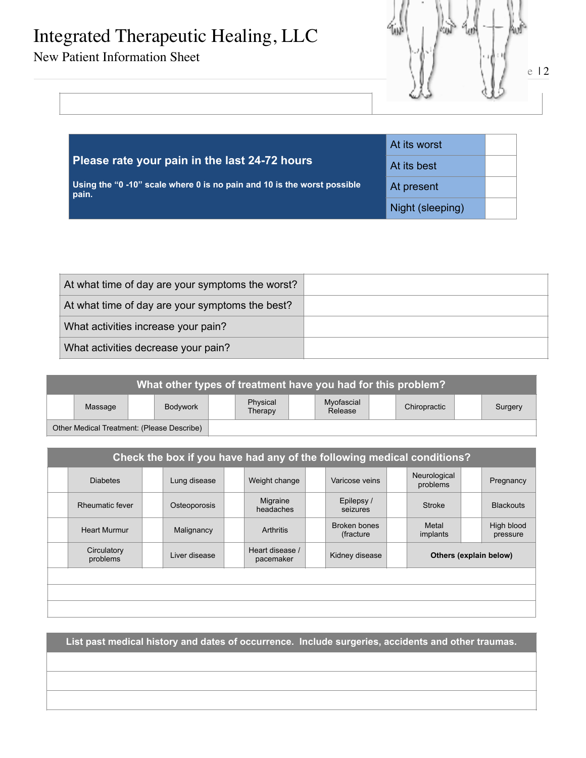New Patient Information Sheet



|                                                                                  | At its worst     |  |
|----------------------------------------------------------------------------------|------------------|--|
| Please rate your pain in the last 24-72 hours                                    | At its best      |  |
| Using the "0 -10" scale where 0 is no pain and 10 is the worst possible<br>pain. | At present       |  |
|                                                                                  | Night (sleeping) |  |

| At what time of day are your symptoms the worst? |  |
|--------------------------------------------------|--|
| At what time of day are your symptoms the best?  |  |
| What activities increase your pain?              |  |
| What activities decrease your pain?              |  |

| What other types of treatment have you had for this problem? |  |          |  |                     |  |                       |  |              |  |         |  |
|--------------------------------------------------------------|--|----------|--|---------------------|--|-----------------------|--|--------------|--|---------|--|
| Massage                                                      |  | Bodywork |  | Physical<br>Therapy |  | Myofascial<br>Release |  | Chiropractic |  | Surgery |  |
| Other Medical Treatment: (Please Describe)                   |  |          |  |                     |  |                       |  |              |  |         |  |

| Check the box if you have had any of the following medical conditions? |  |               |  |                              |  |                            |  |                          |  |                        |  |  |
|------------------------------------------------------------------------|--|---------------|--|------------------------------|--|----------------------------|--|--------------------------|--|------------------------|--|--|
| <b>Diabetes</b>                                                        |  | Lung disease  |  | Weight change                |  | Varicose veins             |  | Neurological<br>problems |  | Pregnancy              |  |  |
| Rheumatic fever                                                        |  | Osteoporosis  |  | Migraine<br>headaches        |  | Epilepsy /<br>seizures     |  | Stroke                   |  | <b>Blackouts</b>       |  |  |
| <b>Heart Murmur</b>                                                    |  | Malignancy    |  | <b>Arthritis</b>             |  | Broken bones<br>(fracture) |  | Metal<br>implants        |  | High blood<br>pressure |  |  |
| Circulatory<br>problems                                                |  | Liver disease |  | Heart disease /<br>pacemaker |  | Kidney disease             |  |                          |  | Others (explain below) |  |  |
|                                                                        |  |               |  |                              |  |                            |  |                          |  |                        |  |  |
|                                                                        |  |               |  |                              |  |                            |  |                          |  |                        |  |  |
|                                                                        |  |               |  |                              |  |                            |  |                          |  |                        |  |  |

**List past medical history and dates of occurrence. Include surgeries, accidents and other traumas.**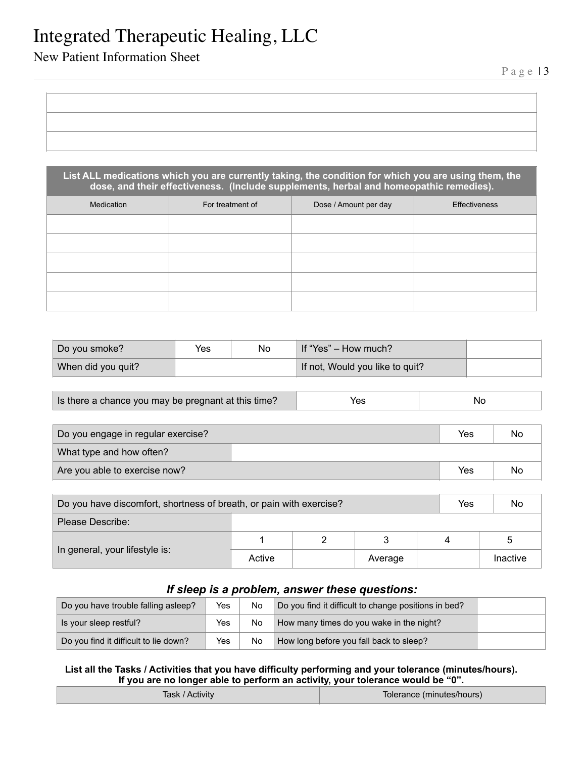### New Patient Information Sheet

**List ALL medications which you are currently taking, the condition for which you are using them, the dose, and their effectiveness. (Include supplements, herbal and homeopathic remedies).**

| Medication | For treatment of | Dose / Amount per day | Effectiveness |
|------------|------------------|-----------------------|---------------|
|            |                  |                       |               |
|            |                  |                       |               |
|            |                  |                       |               |
|            |                  |                       |               |
|            |                  |                       |               |

| Do you smoke?      | Yes | No | If "Yes" – How much?            |  |
|--------------------|-----|----|---------------------------------|--|
| When did you quit? |     |    | If not, Would you like to quit? |  |

| Is there a chance you may be pregnant at this time? | Yes | NC |
|-----------------------------------------------------|-----|----|
|-----------------------------------------------------|-----|----|

| Do you engage in regular exercise? | Yes | No |
|------------------------------------|-----|----|
| What type and how often?           |     |    |
| Are you able to exercise now?      | Yes | No |

| Do you have discomfort, shortness of breath, or pain with exercise? | Yes    | <b>No</b> |         |  |   |          |  |
|---------------------------------------------------------------------|--------|-----------|---------|--|---|----------|--|
| Please Describe:                                                    |        |           |         |  |   |          |  |
|                                                                     |        |           |         |  | 4 | 5        |  |
| In general, your lifestyle is:                                      | Active |           | Average |  |   | Inactive |  |

#### *If sleep is a problem, answer these questions:*

| Do you have trouble falling asleep?   | Yes | No | Do you find it difficult to change positions in bed? |  |
|---------------------------------------|-----|----|------------------------------------------------------|--|
| Is your sleep restful?                | Yes | No | How many times do you wake in the night?             |  |
| Do you find it difficult to lie down? | Yes | No | How long before you fall back to sleep?              |  |

#### **List all the Tasks / Activities that you have difficulty performing and your tolerance (minutes/hours). If you are no longer able to perform an activity, your tolerance would be "0".**

| Task / Activity | Tolerance (minutes/hours) |
|-----------------|---------------------------|
|                 |                           |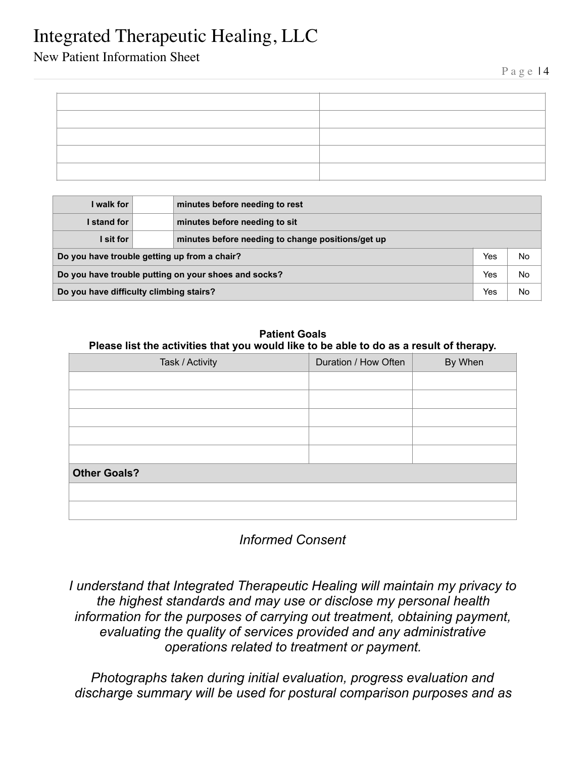New Patient Information Sheet

| I walk for                                           |  | minutes before needing to rest                    |     |    |  |  |
|------------------------------------------------------|--|---------------------------------------------------|-----|----|--|--|
| I stand for                                          |  | minutes before needing to sit                     |     |    |  |  |
| l sit for                                            |  | minutes before needing to change positions/get up |     |    |  |  |
| Do you have trouble getting up from a chair?         |  |                                                   | Yes | No |  |  |
| Do you have trouble putting on your shoes and socks? |  | Yes                                               | No  |    |  |  |
| Do you have difficulty climbing stairs?              |  | Yes                                               | No  |    |  |  |

#### **Patient Goals Please list the activities that you would like to be able to do as a result of therapy.**

| Task / Activity     | Duration / How Often | By When |  |  |
|---------------------|----------------------|---------|--|--|
|                     |                      |         |  |  |
|                     |                      |         |  |  |
|                     |                      |         |  |  |
|                     |                      |         |  |  |
|                     |                      |         |  |  |
| <b>Other Goals?</b> |                      |         |  |  |
|                     |                      |         |  |  |
|                     |                      |         |  |  |

*Informed Consent* 

*I understand that Integrated Therapeutic Healing will maintain my privacy to the highest standards and may use or disclose my personal health information for the purposes of carrying out treatment, obtaining payment, evaluating the quality of services provided and any administrative operations related to treatment or payment.* 

*Photographs taken during initial evaluation, progress evaluation and discharge summary will be used for postural comparison purposes and as*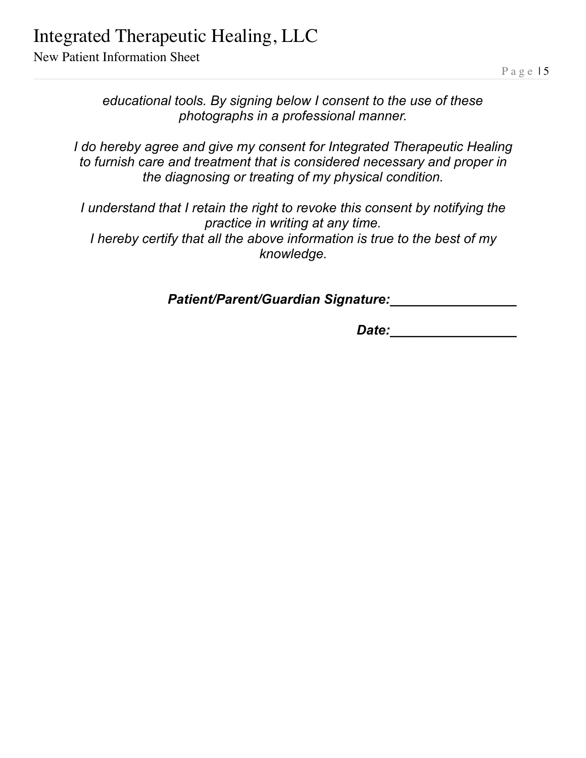New Patient Information Sheet

Page 15

*educational tools. By signing below I consent to the use of these photographs in a professional manner.* 

*I do hereby agree and give my consent for Integrated Therapeutic Healing to furnish care and treatment that is considered necessary and proper in the diagnosing or treating of my physical condition.* 

*I* understand that *I* retain the right to revoke this consent by notifying the *practice in writing at any time. I hereby certify that all the above information is true to the best of my knowledge.* 

*Patient/Parent/Guardian Signature:\_\_\_\_\_\_\_\_\_\_\_\_\_\_\_\_\_* 

*Date:\_\_\_\_\_\_\_\_\_\_\_\_\_\_\_\_\_*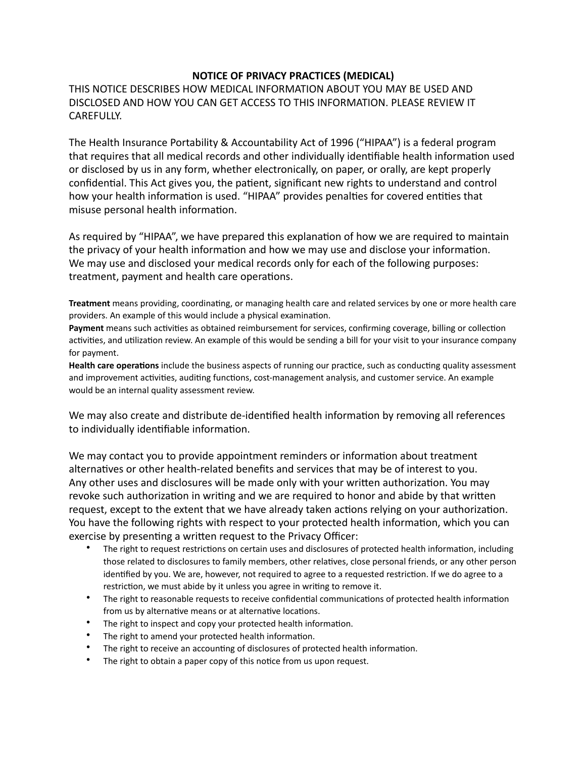#### **NOTICE OF PRIVACY PRACTICES (MEDICAL)**

THIS NOTICE DESCRIBES HOW MEDICAL INFORMATION ABOUT YOU MAY BE USED AND DISCLOSED AND HOW YOU CAN GET ACCESS TO THIS INFORMATION. PLEASE REVIEW IT CAREFULLY. 

The Health Insurance Portability & Accountability Act of 1996 ("HIPAA") is a federal program that requires that all medical records and other individually identifiable health information used or disclosed by us in any form, whether electronically, on paper, or orally, are kept properly confidential. This Act gives you, the patient, significant new rights to understand and control how your health information is used. "HIPAA" provides penalties for covered entities that misuse personal health information.

As required by "HIPAA", we have prepared this explanation of how we are required to maintain the privacy of your health information and how we may use and disclose your information. We may use and disclosed your medical records only for each of the following purposes: treatment, payment and health care operations.

**Treatment** means providing, coordinating, or managing health care and related services by one or more health care providers. An example of this would include a physical examination.

**Payment** means such activities as obtained reimbursement for services, confirming coverage, billing or collection activities, and utilization review. An example of this would be sending a bill for your visit to your insurance company for payment.

**Health care operations** include the business aspects of running our practice, such as conducting quality assessment and improvement activities, auditing functions, cost-management analysis, and customer service. An example would be an internal quality assessment review.

We may also create and distribute de-identified health information by removing all references to individually identifiable information.

We may contact you to provide appointment reminders or information about treatment alternatives or other health-related benefits and services that may be of interest to you. Any other uses and disclosures will be made only with your written authorization. You may revoke such authorization in writing and we are required to honor and abide by that written request, except to the extent that we have already taken actions relying on your authorization. You have the following rights with respect to your protected health information, which you can exercise by presenting a written request to the Privacy Officer:

- The right to request restrictions on certain uses and disclosures of protected health information, including those related to disclosures to family members, other relatives, close personal friends, or any other person identified by you. We are, however, not required to agree to a requested restriction. If we do agree to a restriction, we must abide by it unless you agree in writing to remove it.
- The right to reasonable requests to receive confidential communications of protected health information from us by alternative means or at alternative locations.
- The right to inspect and copy your protected health information.
- The right to amend your protected health information.
- The right to receive an accounting of disclosures of protected health information.
- The right to obtain a paper copy of this notice from us upon request.